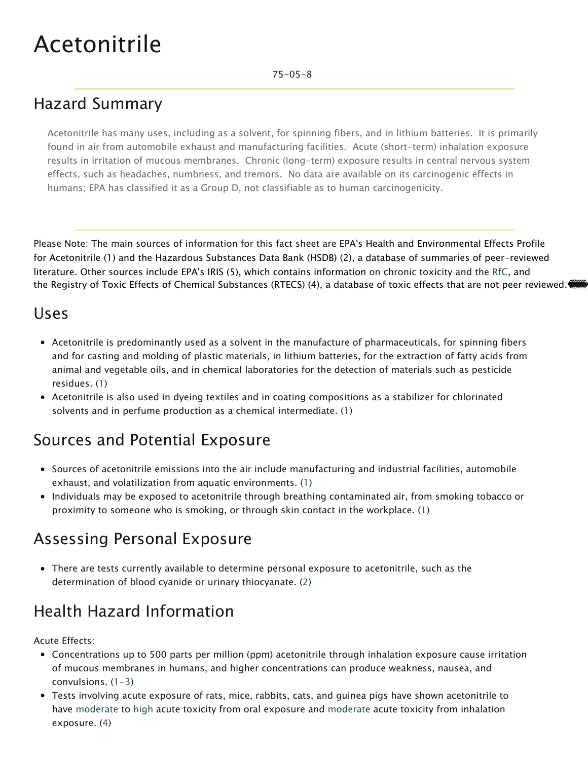# Acetonitrile

#### 75-05-8

## Hazard Summary

Acetonitrile has many uses, including as a solvent, for spinning fibers, and in lithium batteries. It is primarily found in air from automobile exhaust and manufacturing facilities. Acute (short-term) inhalation exposure results in irritation of mucous membranes. Chronic (long-term) exposure results in central nervous system effects, such as headaches, numbness, and tremors. No data are available on its carcinogenic effects in humans; EPA has classified it as a Group D, not classifiable as to human carcinogenicity.

Please Note: The main sources of information for this fact sheet are EPA's Health and Environmental Effects Profile for Acetonitrile (1) and the Hazardous Substances Data Bank (HSDB) (2), a database of summaries of peer-reviewed literature. Other sources include EPA's IRIS (5), which contains information on chronic toxicity and [the R](https://www.epa.gov/haps/health-effects-notebook-glossary)fC, and the Registry of Toxic Effects of Chemical Substances (RTECS) (4), a database of toxic effects that are not peer reviewed.

#### Uses

- Acetonitrile is predominantly used as a solvent in the manufacture of pharmaceuticals, for spinning fibers and for casting and molding of plastic materials, in lithium batteries, for the extraction of fatty acids from animal and vegetable oils, and in chemical laboratories for the detection of materials such as pesticide residues. (1)
- Acetonitrile is also used in dyeing textiles and in coating compositions as a stabilizer for chlorinated solvents and in perfume production as a chemical intermediate. (1)

# Sources and Potential Exposure

- Sources of acetonitrile emissions into the air include manufacturing and industrial facilities, automobile exhaust, and volatilization from aquatic environments. (1)
- Individuals may be exposed to acetonitrile through breathing contaminated air, from smoking tobacco or proximity to someone who is smoking, or through skin contact in the workplace. (1)

### Assessing Personal Exposure

There are tests currently available to determine personal exposure to acetonitrile, such as the determination of blood cyanide or urinary thiocyanate. (2)

### Health Hazard Information

Acute Effects:

- Concentrations up to 500 parts per million (ppm) acetonitrile through inhalation exposure cause irritation of mucous membranes in humans, and higher concentrations can produce weakness, nausea, and convulsions.  $(1-3)$
- Tests involving acute exposure of rats, mice, rabbits, cats, and guinea pigs have shown acetonitrile to have [moderate](https://www.epa.gov/haps/about-health-effects-fact-sheets) to [high](https://www.epa.gov/haps/about-health-effects-fact-sheets) acute toxicity from oral exposure an[d moderate](https://www.epa.gov/haps/about-health-effects-fact-sheets) acute toxicity from inhalation exposure. (4)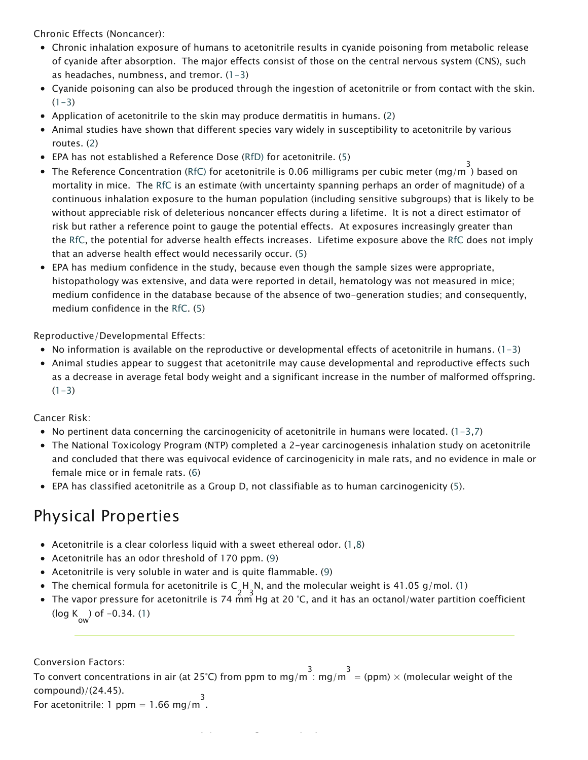Chronic Effects (Noncancer):

- Chronic inhalation exposure of humans to acetonitrile results in cyanide poisoning from metabolic release of cyanide after absorption. The major effects consist of those on the central nervous system (CNS), such as headaches, numbness, and tremor.  $(1-3)$
- Cyanide poisoning can also be produced through the ingestion of acetonitrile or from contact with the skin.  $(1-3)$
- Application of acetonitrile to the skin may produce dermatitis in humans. (2)
- Animal studies have shown that different species vary widely in susceptibility to acetonitrile by various routes. (2)
- EPA has not established a Reference Dose ([RfD\)](https://www.epa.gov/haps/health-effects-notebook-glossary) for acetonitrile. (5)
- The Reference Concentration ([RfC\)](https://www.epa.gov/haps/health-effects-notebook-glossary) for acetonitrile is 0.06 milligrams per cubic meter (mg/m  $^{3}$ ) based on mortality in mice. The [RfC](https://www.epa.gov/haps/health-effects-notebook-glossary) is an estimate (with uncertainty spanning perhaps an order of magnitude) of a continuous inhalation exposure to the human population (including sensitive subgroups) that is likely to be without appreciable risk of deleterious noncancer effects during a lifetime. It is not a direct estimator of risk but rather a reference point to gauge the potential effects. At exposures increasingly greater than the [RfC](https://www.epa.gov/haps/health-effects-notebook-glossary), the potential for adverse health effects increases. Lifetime exposure above the [RfC](https://www.epa.gov/haps/health-effects-notebook-glossary) does not imply that an adverse health effect would necessarily occur. (5)
- EPA has medium confidence in the study, because even though the sample sizes were appropriate, histopathology was extensive, and data were reported in detail, hematology was not measured in mice; medium confidence in the database because of the absence of two-generation studies; and consequently, medium confidence in the [RfC](https://www.epa.gov/haps/health-effects-notebook-glossary). (5)

Reproductive/Developmental Effects:

- No information is available on the reproductive or developmental effects of acetonitrile in humans.  $(1-3)$
- Animal studies appear to suggest that acetonitrile may cause developmental and reproductive effects such as a decrease in average fetal body weight and a significant increase in the number of malformed offspring.  $(1-3)$

Cancer Risk:

- No pertinent data concerning the carcinogenicity of acetonitrile in humans were located.  $(1-3,7)$
- The National Toxicology Program (NTP) completed a 2-year carcinogenesis inhalation study on acetonitrile and concluded that there was equivocal evidence of carcinogenicity in male rats, and no evidence in male or female mice or in female rats. (6)
- EPA has classified acetonitrile as a Group D, not classifiable as to human carcinogenicity (5).

#### Physical Properties

- Acetonitrile is a clear colorless liquid with a sweet ethereal odor.  $(1,8)$
- Acetonitrile has an odor threshold of 170 ppm. (9)
- Acetonitrile is very soluble in water and is quite flammable. (9)
- The chemical formula for acetonitrile is C\_H\_N, and the molecular weight is 41.05 g/mol. (1)<br>The state of the state of the state of the state of the state of the state of the state of the state of the st
- The vapor pressure for acetonitrile is 74 mm Hg at 20 °C, and it has an octanol/water partition coefficient ( $log K_{\text{ow}}$ ) of  $-0.34$ . (1)

Conversion Factors:

To convert concentrations in air (at 25°C) from ppm to mg/m  $\frac{3}{1}$  mg/m  $\frac{3}{1}$  = (ppm)  $\times$  (molecular weight of the compound)/(24.45).

For acetonitrile: 1 ppm = 1.66 mg/m<sup>3</sup>.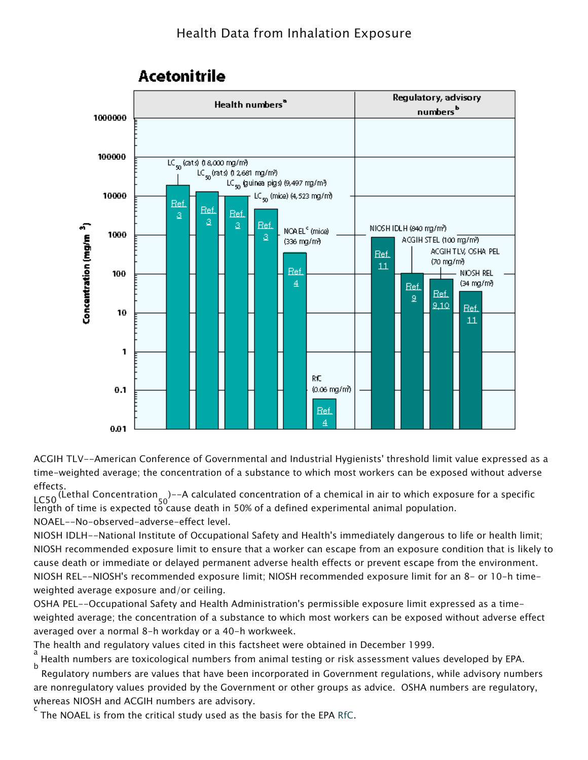

#### **Acetonitrile**

ACGIH TLV--American Conference of Governmental and Industrial Hygienists' threshold limit value expressed as a time-weighted average; the concentration of a substance to which most workers can be exposed without adverse effects.

LC50 (Lethal Concentration 50 )--A calculated concentration of a chemical in air to which exposure for a specific length of time is expected to cause death in 50% of a defined experimental animal population. NOAEL--No-observed-adverse-effect level.

NIOSH IDLH--National Institute of Occupational Safety and Health's immediately dangerous to life or health limit; NIOSH recommended exposure limit to ensure that a worker can escape from an exposure condition that is likely to cause death or immediate or delayed permanent adverse health effects or prevent escape from the environment. NIOSH REL--NIOSH's recommended exposure limit; NIOSH recommended exposure limit for an 8- or 10-h timeweighted average exposure and/or ceiling.

OSHA PEL--Occupational Safety and Health Administration's permissible exposure limit expressed as a timeweighted average; the concentration of a substance to which most workers can be exposed without adverse effect averaged over a normal 8-h workday or a 40-h workweek.

The health and regulatory values cited in this factsheet were obtained in December 1999.

a Health numbers are toxicological numbers from animal testing or risk assessment values developed by EPA. b

 Regulatory numbers are values that have been incorporated in Government regulations, while advisory numbers are nonregulatory values provided by the Government or other groups as advice. OSHA numbers are regulatory, whereas NIOSH and ACGIH numbers are advisory. c

The NOAEL is from the critical study used as the basis for the EPA [RfC.](https://www.epa.gov/haps/health-effects-notebook-glossary)